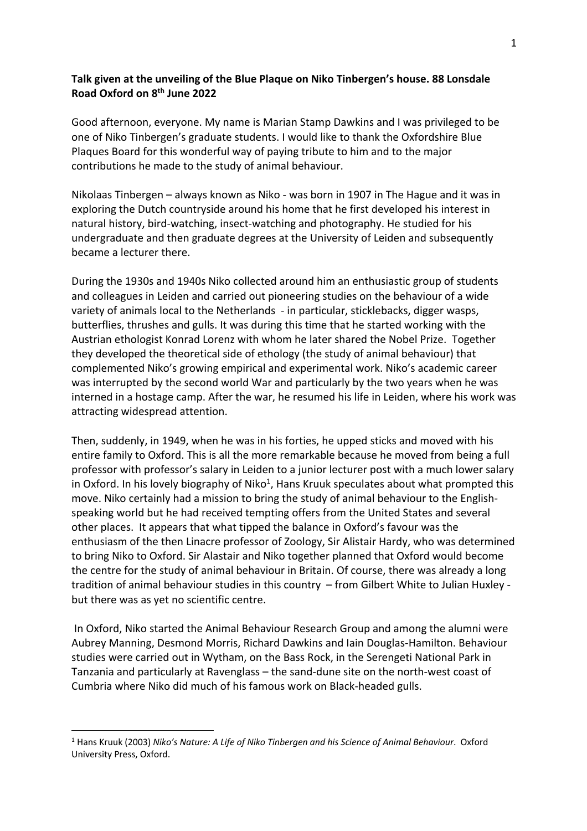## **Talk given at the unveiling of the Blue Plaque on Niko Tinbergen's house. 88 Lonsdale Road Oxford on 8th June 2022**

Good afternoon, everyone. My name is Marian Stamp Dawkins and I was privileged to be one of Niko Tinbergen's graduate students. I would like to thank the Oxfordshire Blue Plaques Board for this wonderful way of paying tribute to him and to the major contributions he made to the study of animal behaviour.

Nikolaas Tinbergen – always known as Niko - was born in 1907 in The Hague and it was in exploring the Dutch countryside around his home that he first developed his interest in natural history, bird-watching, insect-watching and photography. He studied for his undergraduate and then graduate degrees at the University of Leiden and subsequently became a lecturer there.

During the 1930s and 1940s Niko collected around him an enthusiastic group of students and colleagues in Leiden and carried out pioneering studies on the behaviour of a wide variety of animals local to the Netherlands - in particular, sticklebacks, digger wasps, butterflies, thrushes and gulls. It was during this time that he started working with the Austrian ethologist Konrad Lorenz with whom he later shared the Nobel Prize. Together they developed the theoretical side of ethology (the study of animal behaviour) that complemented Niko's growing empirical and experimental work. Niko's academic career was interrupted by the second world War and particularly by the two years when he was interned in a hostage camp. After the war, he resumed his life in Leiden, where his work was attracting widespread attention.

Then, suddenly, in 1949, when he was in his forties, he upped sticks and moved with his entire family to Oxford. This is all the more remarkable because he moved from being a full professor with professor's salary in Leiden to a junior lecturer post with a much lower salary in Oxford. In his lovely biography of Niko<sup>1</sup>, Hans Kruuk speculates about what prompted this move. Niko certainly had a mission to bring the study of animal behaviour to the Englishspeaking world but he had received tempting offers from the United States and several other places. It appears that what tipped the balance in Oxford's favour was the enthusiasm of the then Linacre professor of Zoology, Sir Alistair Hardy, who was determined to bring Niko to Oxford. Sir Alastair and Niko together planned that Oxford would become the centre for the study of animal behaviour in Britain. Of course, there was already a long tradition of animal behaviour studies in this country – from Gilbert White to Julian Huxley but there was as yet no scientific centre.

In Oxford, Niko started the Animal Behaviour Research Group and among the alumni were Aubrey Manning, Desmond Morris, Richard Dawkins and Iain Douglas-Hamilton. Behaviour studies were carried out in Wytham, on the Bass Rock, in the Serengeti National Park in Tanzania and particularly at Ravenglass – the sand-dune site on the north-west coast of Cumbria where Niko did much of his famous work on Black-headed gulls.

<sup>1</sup> Hans Kruuk (2003) *Niko's Nature: A Life of Niko Tinbergen and his Science of Animal Behaviour*. Oxford University Press, Oxford.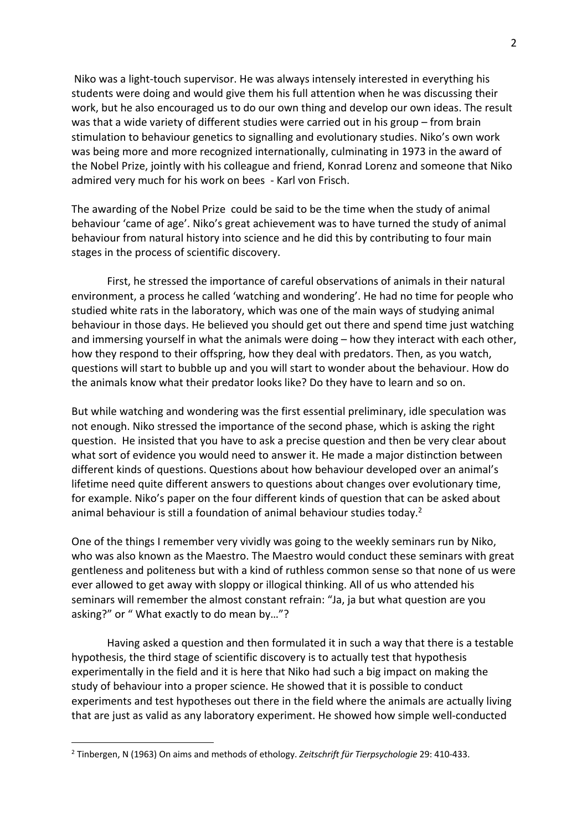Niko was a light-touch supervisor. He was always intensely interested in everything his students were doing and would give them his full attention when he was discussing their work, but he also encouraged us to do our own thing and develop our own ideas. The result was that a wide variety of different studies were carried out in his group – from brain stimulation to behaviour genetics to signalling and evolutionary studies. Niko's own work was being more and more recognized internationally, culminating in 1973 in the award of the Nobel Prize, jointly with his colleague and friend, Konrad Lorenz and someone that Niko admired very much for his work on bees - Karl von Frisch.

The awarding of the Nobel Prize could be said to be the time when the study of animal behaviour 'came of age'. Niko's great achievement was to have turned the study of animal behaviour from natural history into science and he did this by contributing to four main stages in the process of scientific discovery.

First, he stressed the importance of careful observations of animals in their natural environment, a process he called 'watching and wondering'. He had no time for people who studied white rats in the laboratory, which was one of the main ways of studying animal behaviour in those days. He believed you should get out there and spend time just watching and immersing yourself in what the animals were doing – how they interact with each other, how they respond to their offspring, how they deal with predators. Then, as you watch, questions will start to bubble up and you will start to wonder about the behaviour. How do the animals know what their predator looks like? Do they have to learn and so on.

But while watching and wondering was the first essential preliminary, idle speculation was not enough. Niko stressed the importance of the second phase, which is asking the right question. He insisted that you have to ask a precise question and then be very clear about what sort of evidence you would need to answer it. He made a major distinction between different kinds of questions. Questions about how behaviour developed over an animal's lifetime need quite different answers to questions about changes over evolutionary time, for example. Niko's paper on the four different kinds of question that can be asked about animal behaviour is still a foundation of animal behaviour studies today.<sup>2</sup>

One of the things I remember very vividly was going to the weekly seminars run by Niko, who was also known as the Maestro. The Maestro would conduct these seminars with great gentleness and politeness but with a kind of ruthless common sense so that none of us were ever allowed to get away with sloppy or illogical thinking. All of us who attended his seminars will remember the almost constant refrain: "Ja, ja but what question are you asking?" or " What exactly to do mean by…"?

Having asked a question and then formulated it in such a way that there is a testable hypothesis, the third stage of scientific discovery is to actually test that hypothesis experimentally in the field and it is here that Niko had such a big impact on making the study of behaviour into a proper science. He showed that it is possible to conduct experiments and test hypotheses out there in the field where the animals are actually living that are just as valid as any laboratory experiment. He showed how simple well-conducted

<sup>2</sup> Tinbergen, N (1963) On aims and methods of ethology. *Zeitschrift für Tierpsychologie* 29: 410-433.